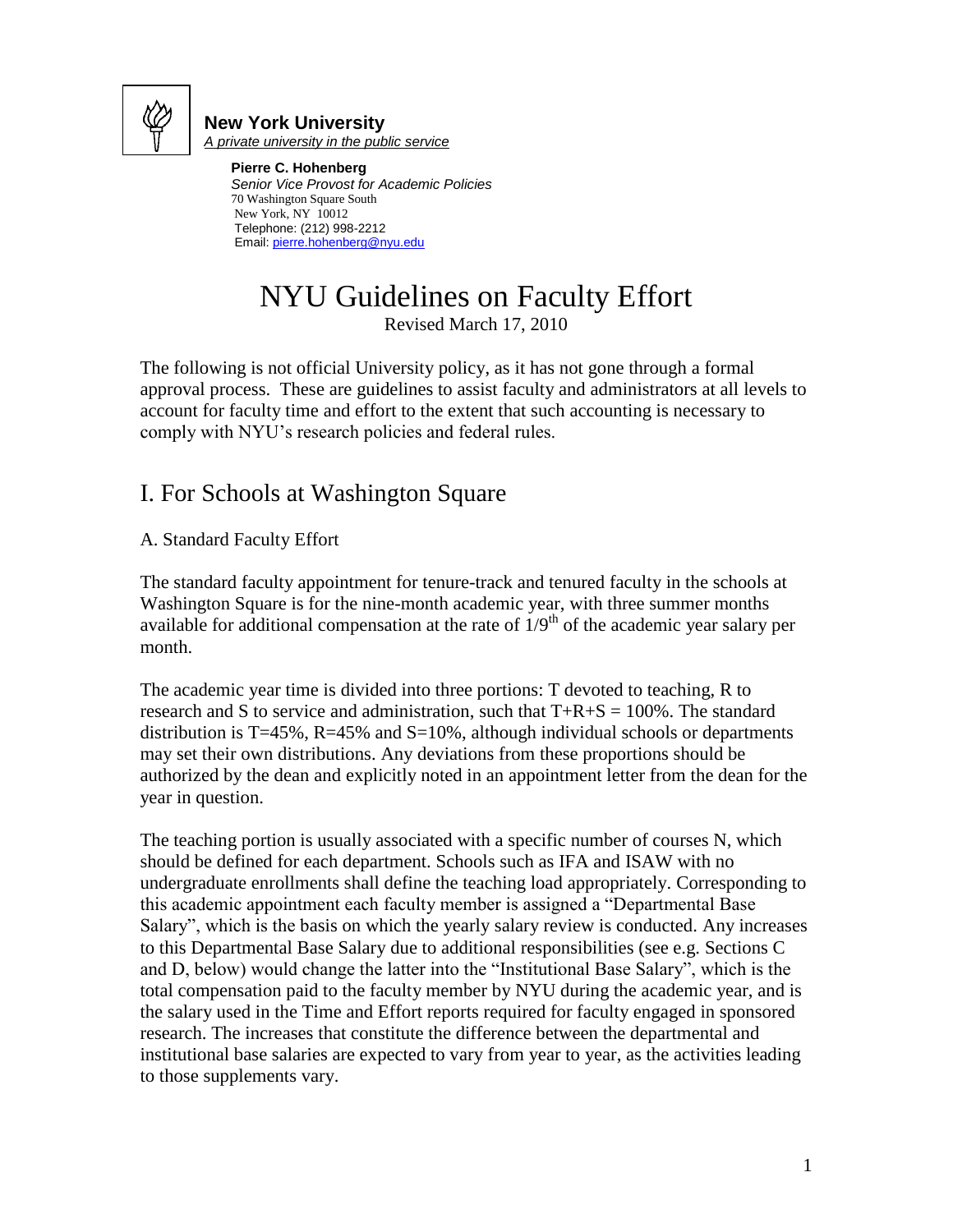

#### **New York University** *A private university in the public service*

**Pierre C. Hohenberg** *Senior Vice Provost for Academic Policies* 70 Washington Square South New York, NY 10012 Telephone: (212) 998-2212 Email[: pierre.hohenberg@nyu.edu](mailto:pierre.hohenberg@nyu.edu)

# NYU Guidelines on Faculty Effort

Revised March 17, 2010

The following is not official University policy, as it has not gone through a formal approval process. These are guidelines to assist faculty and administrators at all levels to account for faculty time and effort to the extent that such accounting is necessary to comply with NYU"s research policies and federal rules.

# I. For Schools at Washington Square

A. Standard Faculty Effort

The standard faculty appointment for tenure-track and tenured faculty in the schools at Washington Square is for the nine-month academic year, with three summer months available for additional compensation at the rate of  $1/9<sup>th</sup>$  of the academic year salary per month.

The academic year time is divided into three portions: T devoted to teaching, R to research and S to service and administration, such that  $T+R+S = 100\%$ . The standard distribution is T=45%,  $R=45%$  and  $S=10%$ , although individual schools or departments may set their own distributions. Any deviations from these proportions should be authorized by the dean and explicitly noted in an appointment letter from the dean for the year in question.

The teaching portion is usually associated with a specific number of courses N, which should be defined for each department. Schools such as IFA and ISAW with no undergraduate enrollments shall define the teaching load appropriately. Corresponding to this academic appointment each faculty member is assigned a "Departmental Base Salary", which is the basis on which the yearly salary review is conducted. Any increases to this Departmental Base Salary due to additional responsibilities (see e.g. Sections C and D, below) would change the latter into the "Institutional Base Salary", which is the total compensation paid to the faculty member by NYU during the academic year, and is the salary used in the Time and Effort reports required for faculty engaged in sponsored research. The increases that constitute the difference between the departmental and institutional base salaries are expected to vary from year to year, as the activities leading to those supplements vary.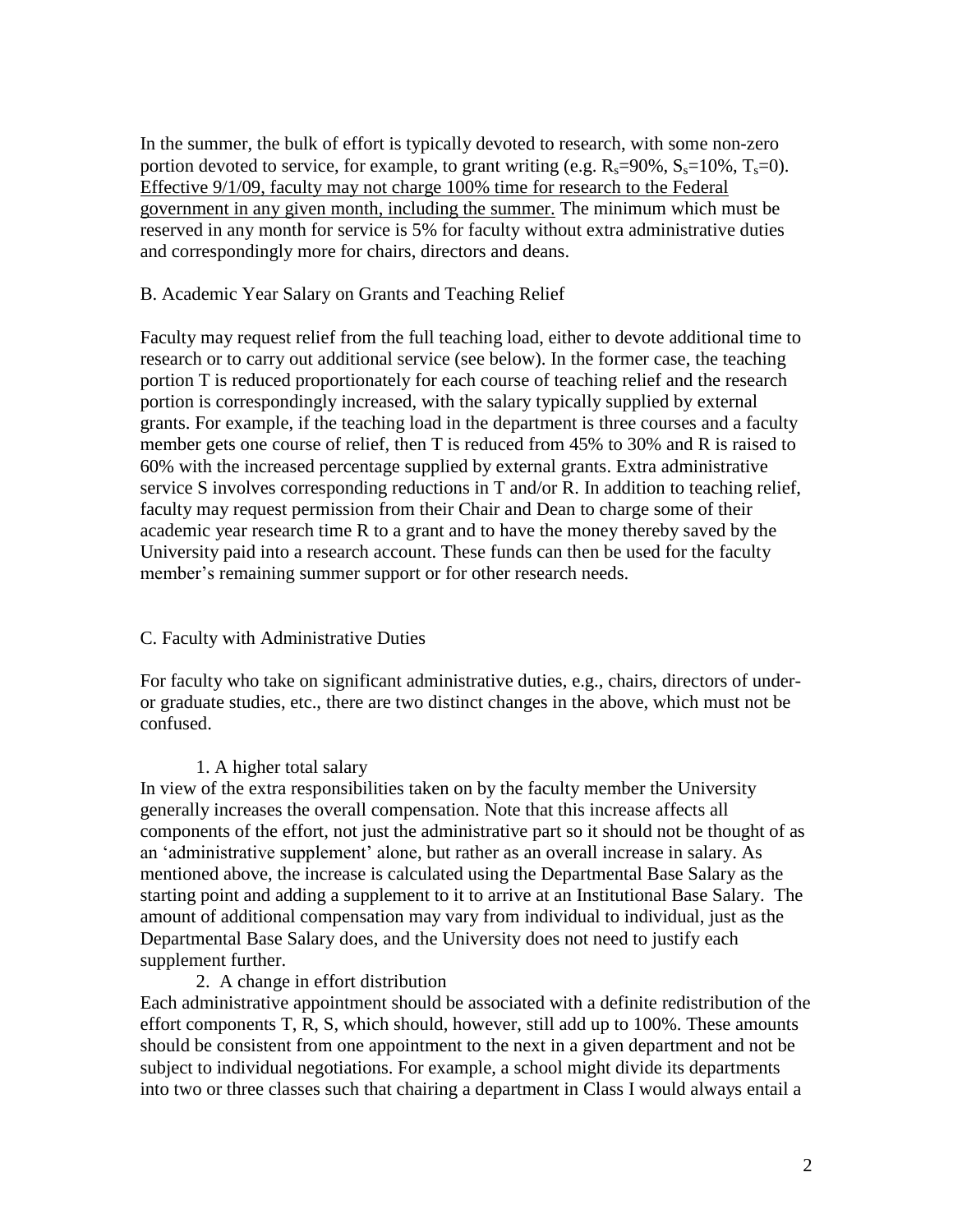In the summer, the bulk of effort is typically devoted to research, with some non-zero portion devoted to service, for example, to grant writing (e.g.  $R_s=90\%$ ,  $S_s=10\%$ ,  $T_s=0$ ). Effective 9/1/09, faculty may not charge 100% time for research to the Federal government in any given month, including the summer. The minimum which must be reserved in any month for service is 5% for faculty without extra administrative duties and correspondingly more for chairs, directors and deans.

#### B. Academic Year Salary on Grants and Teaching Relief

Faculty may request relief from the full teaching load, either to devote additional time to research or to carry out additional service (see below). In the former case, the teaching portion T is reduced proportionately for each course of teaching relief and the research portion is correspondingly increased, with the salary typically supplied by external grants. For example, if the teaching load in the department is three courses and a faculty member gets one course of relief, then T is reduced from 45% to 30% and R is raised to 60% with the increased percentage supplied by external grants. Extra administrative service S involves corresponding reductions in T and/or R. In addition to teaching relief, faculty may request permission from their Chair and Dean to charge some of their academic year research time R to a grant and to have the money thereby saved by the University paid into a research account. These funds can then be used for the faculty member's remaining summer support or for other research needs.

#### C. Faculty with Administrative Duties

For faculty who take on significant administrative duties, e.g., chairs, directors of underor graduate studies, etc., there are two distinct changes in the above, which must not be confused.

#### 1. A higher total salary

In view of the extra responsibilities taken on by the faculty member the University generally increases the overall compensation. Note that this increase affects all components of the effort, not just the administrative part so it should not be thought of as an "administrative supplement" alone, but rather as an overall increase in salary. As mentioned above, the increase is calculated using the Departmental Base Salary as the starting point and adding a supplement to it to arrive at an Institutional Base Salary. The amount of additional compensation may vary from individual to individual, just as the Departmental Base Salary does, and the University does not need to justify each supplement further.

#### 2. A change in effort distribution

Each administrative appointment should be associated with a definite redistribution of the effort components T, R, S, which should, however, still add up to 100%. These amounts should be consistent from one appointment to the next in a given department and not be subject to individual negotiations. For example, a school might divide its departments into two or three classes such that chairing a department in Class I would always entail a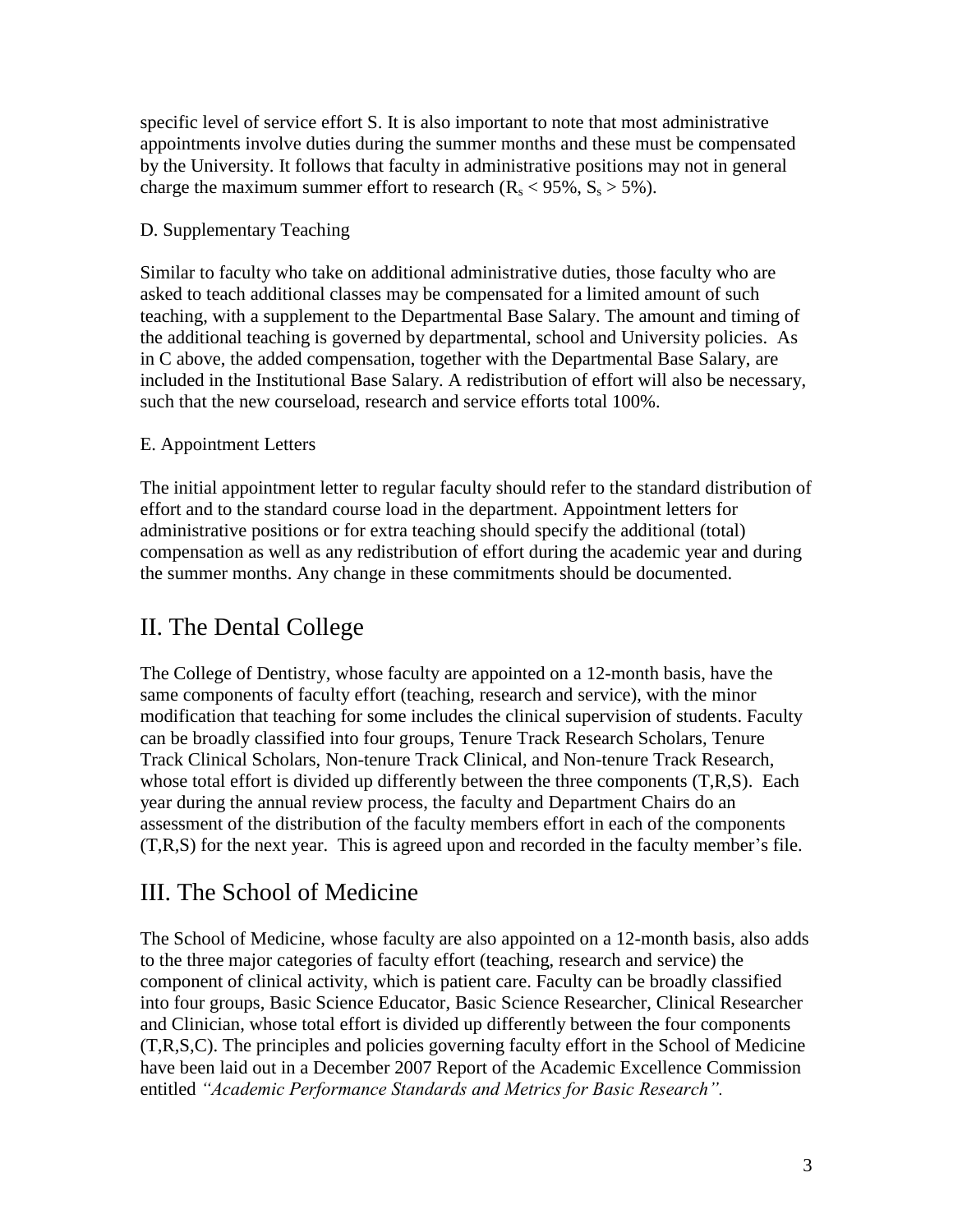specific level of service effort S. It is also important to note that most administrative appointments involve duties during the summer months and these must be compensated by the University. It follows that faculty in administrative positions may not in general charge the maximum summer effort to research ( $R_s$  < 95%,  $S_s$  > 5%).

### D. Supplementary Teaching

Similar to faculty who take on additional administrative duties, those faculty who are asked to teach additional classes may be compensated for a limited amount of such teaching, with a supplement to the Departmental Base Salary. The amount and timing of the additional teaching is governed by departmental, school and University policies. As in C above, the added compensation, together with the Departmental Base Salary, are included in the Institutional Base Salary. A redistribution of effort will also be necessary, such that the new courseload, research and service efforts total 100%.

### E. Appointment Letters

The initial appointment letter to regular faculty should refer to the standard distribution of effort and to the standard course load in the department. Appointment letters for administrative positions or for extra teaching should specify the additional (total) compensation as well as any redistribution of effort during the academic year and during the summer months. Any change in these commitments should be documented.

### II. The Dental College

The College of Dentistry, whose faculty are appointed on a 12-month basis, have the same components of faculty effort (teaching, research and service), with the minor modification that teaching for some includes the clinical supervision of students. Faculty can be broadly classified into four groups, Tenure Track Research Scholars, Tenure Track Clinical Scholars, Non-tenure Track Clinical, and Non-tenure Track Research, whose total effort is divided up differently between the three components  $(T,R,S)$ . Each year during the annual review process, the faculty and Department Chairs do an assessment of the distribution of the faculty members effort in each of the components  $(T,R,S)$  for the next year. This is agreed upon and recorded in the faculty member's file.

### III. The School of Medicine

The School of Medicine, whose faculty are also appointed on a 12-month basis, also adds to the three major categories of faculty effort (teaching, research and service) the component of clinical activity, which is patient care. Faculty can be broadly classified into four groups, Basic Science Educator, Basic Science Researcher, Clinical Researcher and Clinician, whose total effort is divided up differently between the four components (T,R,S,C). The principles and policies governing faculty effort in the School of Medicine have been laid out in a December 2007 Report of the Academic Excellence Commission entitled *"Academic Performance Standards and Metrics for Basic Research".*